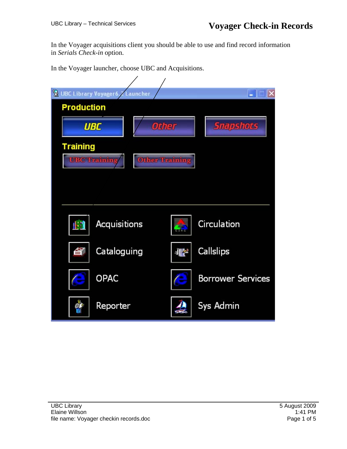In the Voyager acquisitions client you should be able to use and find record information in *Serials Check-in* option.

In the Voyager launcher, choose UBC and Acquisitions.

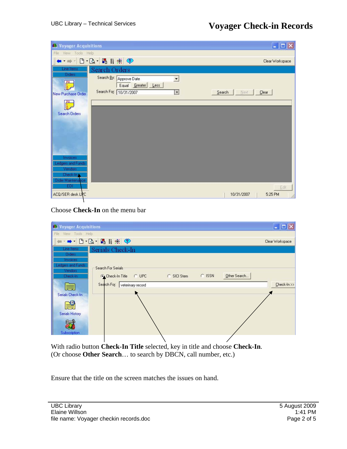| 61 Voyager Acquisitions                                                       |                                                                                                                                                                      | $\blacksquare$ $\blacksquare$ $\times$ |
|-------------------------------------------------------------------------------|----------------------------------------------------------------------------------------------------------------------------------------------------------------------|----------------------------------------|
| View Tools Help<br>File                                                       |                                                                                                                                                                      |                                        |
|                                                                               | $\blacksquare$ $\blacksquare$ $\blacksquare$ $\blacksquare$ $\blacksquare$ $\blacksquare$ $\blacksquare$ $\blacksquare$ $\blacksquare$ $\blacksquare$ $\blacksquare$ | Clear Workspace                        |
| Line Items<br>Orders<br>$\frac{P}{\frac{1}{2}}$                               | Search Orders<br>Search By: Approve Date<br>$\vert \mathbf{r} \vert$<br>Equal Greater Less<br>Search For: 10/31/2007                                                 | $Search$  <br>Next                     |
| New Purchase Order<br><b>Search Orders</b>                                    | ×                                                                                                                                                                    | $C$ lear                               |
|                                                                               |                                                                                                                                                                      |                                        |
| Invoices<br>Ledgers and Funds<br>Vendors<br>Check-In<br><b>Order Maintena</b> |                                                                                                                                                                      |                                        |
| EDI<br>ACQ/SER desk LPC                                                       |                                                                                                                                                                      | Edit<br>5:25 PM<br>10/31/2007          |

Choose **Check-In** on the menu bar

| 60 Voyager Acquisitions              |                                                                                             | $\blacksquare$           |
|--------------------------------------|---------------------------------------------------------------------------------------------|--------------------------|
| View Tools Help<br>File              |                                                                                             |                          |
|                                      |                                                                                             | Clear Workspace          |
| Line Items                           | Serials Check-In                                                                            |                          |
| <b>Orders</b>                        |                                                                                             |                          |
| Invoices<br><b>Ledgers and Funds</b> |                                                                                             |                          |
| Vendors                              | Search For Serials                                                                          |                          |
| Check-In                             | Check-In Title C UPC<br>C SICI Stem                                                         | $C$ ISSN<br>Other Search |
| ĘJ                                   | Search For: veterinary record                                                               | Check-In >>              |
| Serials Check-In                     |                                                                                             |                          |
|                                      |                                                                                             |                          |
| ≝                                    |                                                                                             |                          |
| <b>Serials History</b>               |                                                                                             |                          |
|                                      |                                                                                             |                          |
|                                      |                                                                                             |                          |
| Subscription                         |                                                                                             |                          |
|                                      |                                                                                             |                          |
|                                      | With radio button <b>Check-In Title</b> selected, key in title and choose <b>Check-In</b> . |                          |

(Or choose **Other Search**… to search by DBCN, call number, etc.)

Ensure that the title on the screen matches the issues on hand.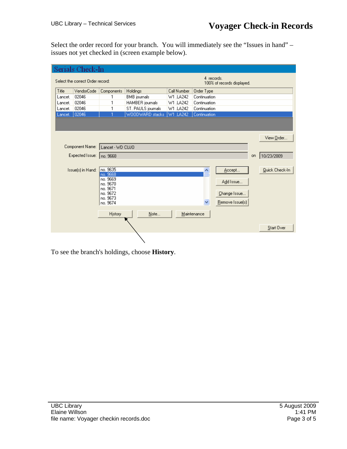Select the order record for your branch. You will immediately see the "Issues in hand" – issues not yet checked in (screen example below).

|                                                                              |         | Serials Check-In  |                      |                     |             |              |                 |           |                |
|------------------------------------------------------------------------------|---------|-------------------|----------------------|---------------------|-------------|--------------|-----------------|-----------|----------------|
| 4 records.<br>Select the correct Order record:<br>100% of records displayed. |         |                   |                      |                     |             |              |                 |           |                |
|                                                                              | Title   | VendorCode        | Components           | Holdings            | Call Number | Order Type   |                 |           |                |
|                                                                              | Lancet. | 02046             | 1                    | <b>BMB</b> journals | W1.LA242    | Continuation |                 |           |                |
|                                                                              | Lancet. | 02046             | 1                    | HAMBER journals     | W1.LA242    | Continuation |                 |           |                |
|                                                                              | Lancet. | 02046             | 1                    | ST. PAULS journals  | W1.LA242    | Continuation |                 |           |                |
|                                                                              | Lancet. | 02046             |                      | WOODWARD stacks     | W1.LA242    | Continuation |                 |           |                |
|                                                                              |         |                   |                      |                     |             |              |                 |           |                |
|                                                                              |         |                   |                      |                     |             |              |                 |           | View Order     |
|                                                                              |         |                   |                      |                     |             |              |                 |           |                |
|                                                                              |         | Component Name:   | Lancet - WD CUJO     |                     |             |              |                 |           |                |
|                                                                              |         | Expected Issue:   | Ino. 9668            |                     |             |              |                 | <b>on</b> | 10/23/2009     |
|                                                                              |         |                   |                      |                     |             |              |                 |           |                |
|                                                                              |         | Issue(s) in Hand: | no. 9635             |                     |             | ۸            | Accept          |           | Quick Check-In |
|                                                                              |         |                   | no. 9668<br>no. 9669 |                     |             |              |                 |           |                |
|                                                                              |         |                   | no. 9670             |                     |             |              | Add Issue       |           |                |
|                                                                              |         |                   | no. 9671             |                     |             |              |                 |           |                |
|                                                                              |         |                   | no. 9672<br>no. 9673 |                     |             |              | Change Issue    |           |                |
|                                                                              |         |                   | no. 9674             |                     |             | v            | Remove Issue(s) |           |                |
|                                                                              |         |                   |                      |                     |             |              |                 |           |                |
|                                                                              |         |                   | History              | Note                |             | Maintenance  |                 |           |                |
|                                                                              |         |                   |                      |                     |             |              |                 |           |                |
|                                                                              |         |                   |                      |                     |             |              |                 |           | Start Over     |
|                                                                              |         |                   |                      |                     |             |              |                 |           |                |

To see the branch's holdings, choose **History**.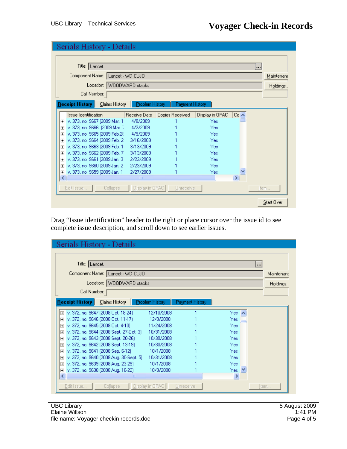|                         | Serials History - Details          |                           |                 |                 |                 |             |                   |
|-------------------------|------------------------------------|---------------------------|-----------------|-----------------|-----------------|-------------|-------------------|
|                         | Title: Lancet.                     |                           |                 |                 |                 |             |                   |
|                         | Component Name:   Lancet - WD CUJO |                           |                 |                 |                 |             | Maintenand        |
|                         |                                    | Location: WOODWARD stacks |                 |                 |                 |             | Holdings          |
|                         | Call Number:                       |                           |                 |                 |                 |             |                   |
|                         |                                    |                           |                 |                 |                 |             |                   |
|                         | <b>Receipt History</b>             | Claims History            | Problem History | Payment History |                 |             |                   |
|                         | Issue Identification               |                           | Receive Date    | Copies Received | Display in OPAC | $Co \wedge$ |                   |
| $\overline{+}$          | v. 373, no. 9667 (2009 Mar. 1)     |                           | 4/8/2009        |                 | Yes             |             |                   |
| $\overline{+}$          | v. 373, no. 9666 (2009 Mar. 1)     |                           | 4/2/2009        |                 | Yes             |             |                   |
| $\overline{\mathbf{H}}$ | v. 373, no. 9665 (2009 Feb.28)     |                           | 4/9/2009        |                 | Yes             |             |                   |
| $\overline{\mathbf{H}}$ | v. 373, no. 9664 (2009 Feb. 2)     |                           | 3/16/2009       |                 | Yes             |             |                   |
| $\overline{\mathbf{H}}$ | v. 373, no. 9663 (2009 Feb. 1)     |                           | 3/13/2009       |                 | Yes             |             |                   |
| $\overline{\mathbf{H}}$ | v. 373, no. 9662 (2009 Feb. 7)     |                           | 3/13/2009       |                 | Yes             |             |                   |
| $\overline{\mathbf{H}}$ | v. 373, no. 9661 (2009 Jan. 3)     |                           | 2/23/2009       |                 | Yes             |             |                   |
| $\overline{+}$          | v. 373, no. 9660 (2009 Jan. 2)     |                           | 2/23/2009       |                 | Yes             |             |                   |
| $\overline{+}$          | v. 373, no. 9659 (2009 Jan. 1      |                           | 2/27/2009       |                 | Yes             |             |                   |
| $\blacklozenge$         |                                    |                           | <b>TILL</b>     |                 |                 | ≯           |                   |
|                         | Edit Issue                         | Collapse                  | Display in OPAC | Unreceive       |                 |             | Item              |
|                         |                                    |                           |                 |                 |                 |             | <b>Start Over</b> |

Drag "Issue identification" header to the right or place cursor over the issue id to see complete issue description, and scroll down to see earlier issues.

| Title:   Lancet.<br><br>Component Name:   Lancet - WD CUJO<br>Location: WOODWARD stacks<br>Call Number:<br><b>Receipt History</b><br>Claims History   Problem History<br>Payment History<br>v. 372, no. 9647 (2008 Oct. 18-24)<br>12/10/2008<br>Yes A<br>$\overline{+}$<br>v. 372, no. 9646 (2008 Oct. 11-17)<br>12/8/2008<br>Yes<br>$\overline{\mathbf{H}}$<br>m<br>v. 372, no. 9645 (2008 Oct. 4-10)<br>11/24/2008<br>Yes<br>$\overline{\mathbf{H}}$<br>v. 372, no. 9644 (2008 Sept. 27-Oct. 3)<br>10/31/2008<br>Yes<br>$\overline{\mathbf{H}}$<br>v. 372, no. 9643 (2008 Sept. 20-26).<br>10/30/2008<br>Yes<br>$\overline{+}$<br>v. 372, no. 9642 (2008 Sept. 13-19)<br>10/30/2008<br>Yes<br>$\overline{\mathbf{H}}$ | Maintenand<br>Holdings |
|-------------------------------------------------------------------------------------------------------------------------------------------------------------------------------------------------------------------------------------------------------------------------------------------------------------------------------------------------------------------------------------------------------------------------------------------------------------------------------------------------------------------------------------------------------------------------------------------------------------------------------------------------------------------------------------------------------------------------|------------------------|
|                                                                                                                                                                                                                                                                                                                                                                                                                                                                                                                                                                                                                                                                                                                         |                        |
|                                                                                                                                                                                                                                                                                                                                                                                                                                                                                                                                                                                                                                                                                                                         |                        |
|                                                                                                                                                                                                                                                                                                                                                                                                                                                                                                                                                                                                                                                                                                                         |                        |
|                                                                                                                                                                                                                                                                                                                                                                                                                                                                                                                                                                                                                                                                                                                         |                        |
|                                                                                                                                                                                                                                                                                                                                                                                                                                                                                                                                                                                                                                                                                                                         |                        |
|                                                                                                                                                                                                                                                                                                                                                                                                                                                                                                                                                                                                                                                                                                                         |                        |
|                                                                                                                                                                                                                                                                                                                                                                                                                                                                                                                                                                                                                                                                                                                         |                        |
|                                                                                                                                                                                                                                                                                                                                                                                                                                                                                                                                                                                                                                                                                                                         |                        |
|                                                                                                                                                                                                                                                                                                                                                                                                                                                                                                                                                                                                                                                                                                                         |                        |
|                                                                                                                                                                                                                                                                                                                                                                                                                                                                                                                                                                                                                                                                                                                         |                        |
|                                                                                                                                                                                                                                                                                                                                                                                                                                                                                                                                                                                                                                                                                                                         |                        |
|                                                                                                                                                                                                                                                                                                                                                                                                                                                                                                                                                                                                                                                                                                                         |                        |
|                                                                                                                                                                                                                                                                                                                                                                                                                                                                                                                                                                                                                                                                                                                         |                        |
|                                                                                                                                                                                                                                                                                                                                                                                                                                                                                                                                                                                                                                                                                                                         |                        |
| v. 372, no. 9641 (2008 Sep. 6-12).<br>10/1/2008<br>Yes<br>$\overline{\mathbf{H}}$                                                                                                                                                                                                                                                                                                                                                                                                                                                                                                                                                                                                                                       |                        |
| v. 372, no. 9640 (2008 Aug. 30-Sept. 5) -<br>10/31/2008<br>Yes<br>$\overline{+}$                                                                                                                                                                                                                                                                                                                                                                                                                                                                                                                                                                                                                                        |                        |
| v. 372, no. 9639 (2008 Aug. 23-29).<br>10/1/2008<br>Yes<br>$\overline{+}$                                                                                                                                                                                                                                                                                                                                                                                                                                                                                                                                                                                                                                               |                        |
| Yes:<br>v. 372, no. 9638 (2008 Aug. 16-22).<br>10/9/2008<br>$\checkmark$<br>$+$                                                                                                                                                                                                                                                                                                                                                                                                                                                                                                                                                                                                                                         |                        |
| ∢<br>⋗<br>Ш                                                                                                                                                                                                                                                                                                                                                                                                                                                                                                                                                                                                                                                                                                             |                        |
| Display in OPAC<br>Edit Issue<br>Collapse<br>Unreceive<br>Item                                                                                                                                                                                                                                                                                                                                                                                                                                                                                                                                                                                                                                                          |                        |